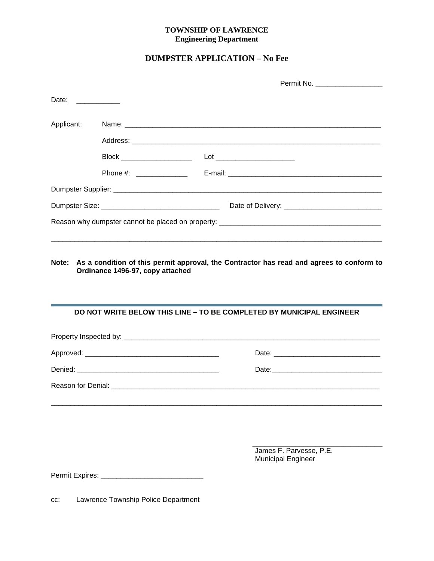## **TOWNSHIP OF LAWRENCE Engineering Department**

## **DUMPSTER APPLICATION – No Fee**

|                   |                                  | Permit No. ___________________                                                                 |
|-------------------|----------------------------------|------------------------------------------------------------------------------------------------|
| Date: ___________ |                                  |                                                                                                |
| Applicant:        |                                  |                                                                                                |
|                   |                                  |                                                                                                |
|                   | Block ______________________     |                                                                                                |
|                   |                                  |                                                                                                |
|                   |                                  |                                                                                                |
|                   |                                  |                                                                                                |
|                   |                                  |                                                                                                |
|                   | Ordinance 1496-97, copy attached | Note: As a condition of this permit approval, the Contractor has read and agrees to conform to |
|                   |                                  | <b>DO NOT WRITE BELOW THIS LINE - TO BE COMPLETED BY MUNICIPAL ENGINEER</b>                    |
|                   |                                  |                                                                                                |
|                   |                                  |                                                                                                |
|                   |                                  |                                                                                                |

Reason for Denial: \_\_\_\_\_\_\_\_\_\_\_\_\_\_\_\_\_\_\_\_\_\_\_\_\_\_\_\_\_\_\_\_\_\_\_\_\_\_\_\_\_\_\_\_\_\_\_\_\_\_\_\_\_\_\_\_\_\_\_\_\_\_\_\_\_\_\_\_

\_\_\_\_\_\_\_\_\_\_\_\_\_\_\_\_\_\_\_\_\_\_\_\_\_\_\_\_\_\_\_\_\_\_\_\_\_\_\_\_\_\_\_\_\_\_\_\_\_\_\_\_\_\_\_\_\_\_\_\_\_\_\_\_\_\_\_\_\_\_\_\_\_\_\_\_\_\_\_\_\_\_\_\_

\_\_\_\_\_\_\_\_\_\_\_\_\_\_\_\_\_\_\_\_\_\_\_\_\_\_\_\_\_\_\_\_\_ James F. Parvesse, P.E. Municipal Engineer

Permit Expires: \_\_\_\_\_\_\_\_\_\_\_\_\_\_\_\_\_\_\_\_\_\_\_\_\_\_

cc: Lawrence Township Police Department